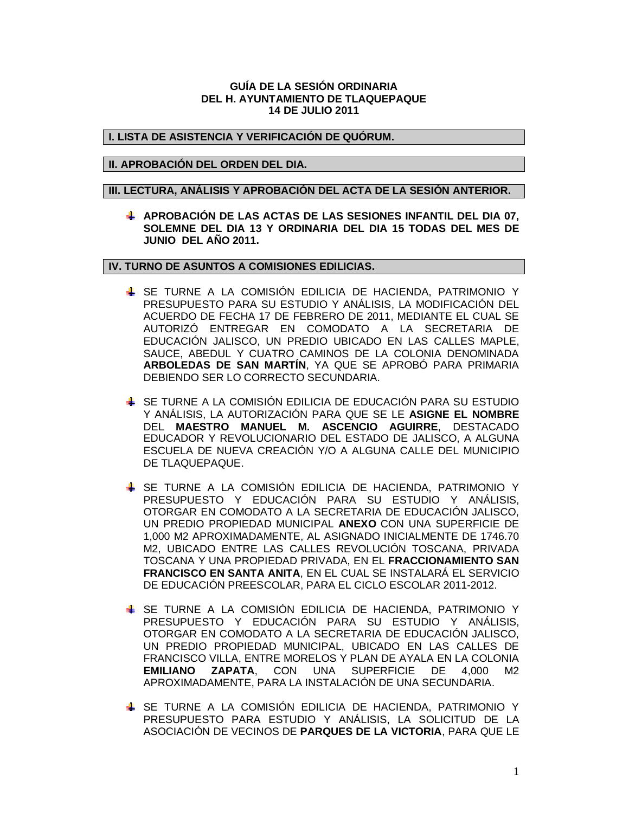## **GUÍA DE LA SESIÓN ORDINARIA DEL H. AYUNTAMIENTO DE TLAQUEPAQUE 14 DE JULIO 2011**

## **I. LISTA DE ASISTENCIA Y VERIFICACIÓN DE QUÓRUM.**

## **II. APROBACIÓN DEL ORDEN DEL DIA.**

#### **III. LECTURA, ANÁLISIS Y APROBACIÓN DEL ACTA DE LA SESIÓN ANTERIOR.**

**APROBACIÓN DE LAS ACTAS DE LAS SESIONES INFANTIL DEL DIA 07, SOLEMNE DEL DIA 13 Y ORDINARIA DEL DIA 15 TODAS DEL MES DE JUNIO DEL AÑO 2011.**

## **IV. TURNO DE ASUNTOS A COMISIONES EDILICIAS.**

- SE TURNE A LA COMISIÓN EDILICIA DE HACIENDA, PATRIMONIO Y PRESUPUESTO PARA SU ESTUDIO Y ANÁLISIS, LA MODIFICACIÓN DEL ACUERDO DE FECHA 17 DE FEBRERO DE 2011, MEDIANTE EL CUAL SE AUTORIZÓ ENTREGAR EN COMODATO A LA SECRETARIA DE EDUCACIÓN JALISCO, UN PREDIO UBICADO EN LAS CALLES MAPLE, SAUCE, ABEDUL Y CUATRO CAMINOS DE LA COLONIA DENOMINADA **ARBOLEDAS DE SAN MARTÍN**, YA QUE SE APROBÓ PARA PRIMARIA DEBIENDO SER LO CORRECTO SECUNDARIA.
- SE TURNE A LA COMISIÓN EDILICIA DE EDUCACIÓN PARA SU ESTUDIO Y ANÁLISIS, LA AUTORIZACIÓN PARA QUE SE LE **ASIGNE EL NOMBRE** DEL **MAESTRO MANUEL M. ASCENCIO AGUIRRE**, DESTACADO EDUCADOR Y REVOLUCIONARIO DEL ESTADO DE JALISCO, A ALGUNA ESCUELA DE NUEVA CREACIÓN Y/O A ALGUNA CALLE DEL MUNICIPIO DE TLAQUEPAQUE.
- SE TURNE A LA COMISIÓN EDILICIA DE HACIENDA, PATRIMONIO Y PRESUPUESTO Y EDUCACIÓN PARA SU ESTUDIO Y ANÁLISIS, OTORGAR EN COMODATO A LA SECRETARIA DE EDUCACIÓN JALISCO, UN PREDIO PROPIEDAD MUNICIPAL **ANEXO** CON UNA SUPERFICIE DE 1,000 M2 APROXIMADAMENTE, AL ASIGNADO INICIALMENTE DE 1746.70 M2, UBICADO ENTRE LAS CALLES REVOLUCIÓN TOSCANA, PRIVADA TOSCANA Y UNA PROPIEDAD PRIVADA, EN EL **FRACCIONAMIENTO SAN FRANCISCO EN SANTA ANITA**, EN EL CUAL SE INSTALARÁ EL SERVICIO DE EDUCACIÓN PREESCOLAR, PARA EL CICLO ESCOLAR 2011-2012.
- SE TURNE A LA COMISIÓN EDILICIA DE HACIENDA, PATRIMONIO Y PRESUPUESTO Y EDUCACIÓN PARA SU ESTUDIO Y ANÁLISIS, OTORGAR EN COMODATO A LA SECRETARIA DE EDUCACIÓN JALISCO, UN PREDIO PROPIEDAD MUNICIPAL, UBICADO EN LAS CALLES DE FRANCISCO VILLA, ENTRE MORELOS Y PLAN DE AYALA EN LA COLONIA **EMILIANO ZAPATA**, CON UNA SUPERFICIE DE 4,000 M2 APROXIMADAMENTE, PARA LA INSTALACIÓN DE UNA SECUNDARIA.
- SE TURNE A LA COMISIÓN EDILICIA DE HACIENDA, PATRIMONIO Y PRESUPUESTO PARA ESTUDIO Y ANÁLISIS, LA SOLICITUD DE LA ASOCIACIÓN DE VECINOS DE **PARQUES DE LA VICTORIA**, PARA QUE LE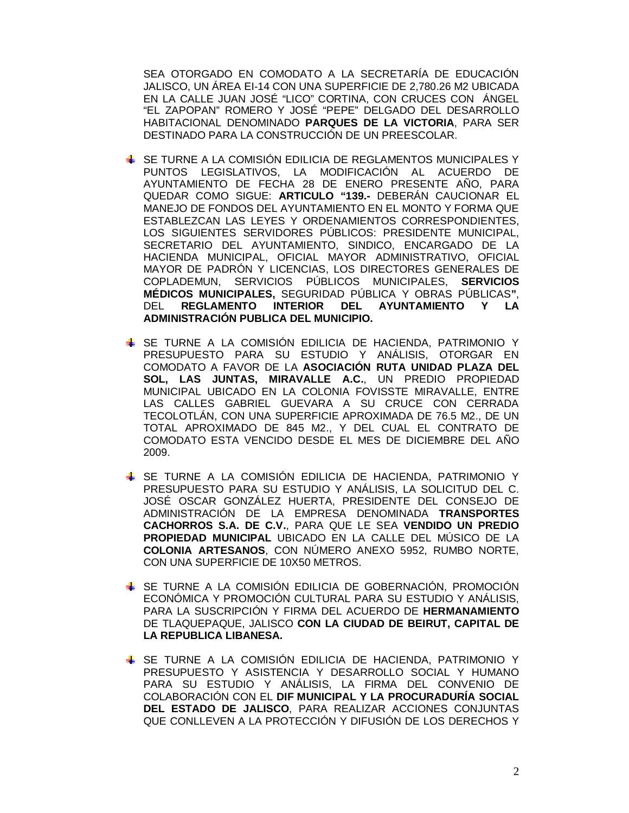SEA OTORGADO EN COMODATO A LA SECRETARÍA DE EDUCACIÓN JALISCO, UN ÁREA EI-14 CON UNA SUPERFICIE DE 2,780.26 M2 UBICADA EN LA CALLE JUAN JOSÉ "LICO" CORTINA, CON CRUCES CON ÁNGEL "EL ZAPOPAN" ROMERO Y JOSÉ "PEPE" DELGADO DEL DESARROLLO HABITACIONAL DENOMINADO **PARQUES DE LA VICTORIA**, PARA SER DESTINADO PARA LA CONSTRUCCIÓN DE UN PREESCOLAR.

- SE TURNE A LA COMISIÓN EDILICIA DE REGLAMENTOS MUNICIPALES Y PUNTOS LEGISLATIVOS, LA MODIFICACIÓN AL ACUERDO DE AYUNTAMIENTO DE FECHA 28 DE ENERO PRESENTE AÑO, PARA QUEDAR COMO SIGUE: **ARTICULO "139.-** DEBERÁN CAUCIONAR EL MANEJO DE FONDOS DEL AYUNTAMIENTO EN EL MONTO Y FORMA QUE ESTABLEZCAN LAS LEYES Y ORDENAMIENTOS CORRESPONDIENTES, LOS SIGUIENTES SERVIDORES PÚBLICOS: PRESIDENTE MUNICIPAL, SECRETARIO DEL AYUNTAMIENTO, SINDICO, ENCARGADO DE LA HACIENDA MUNICIPAL, OFICIAL MAYOR ADMINISTRATIVO, OFICIAL MAYOR DE PADRÓN Y LICENCIAS, LOS DIRECTORES GENERALES DE COPLADEMUN, SERVICIOS PÚBLICOS MUNICIPALES, **SERVICIOS MÉDICOS MUNICIPALES,** SEGURIDAD PÚBLICA Y OBRAS PÚBLICAS**"**, DEL **REGLAMENTO INTERIOR DEL AYUNTAMIENTO Y LA ADMINISTRACIÓN PUBLICA DEL MUNICIPIO.**
- SE TURNE A LA COMISIÓN EDILICIA DE HACIENDA, PATRIMONIO Y PRESUPUESTO PARA SU ESTUDIO Y ANÁLISIS, OTORGAR EN COMODATO A FAVOR DE LA **ASOCIACIÓN RUTA UNIDAD PLAZA DEL SOL, LAS JUNTAS, MIRAVALLE A.C.**, UN PREDIO PROPIEDAD MUNICIPAL UBICADO EN LA COLONIA FOVISSTE MIRAVALLE, ENTRE LAS CALLES GABRIEL GUEVARA A SU CRUCE CON CERRADA TECOLOTLÁN, CON UNA SUPERFICIE APROXIMADA DE 76.5 M2., DE UN TOTAL APROXIMADO DE 845 M2., Y DEL CUAL EL CONTRATO DE COMODATO ESTA VENCIDO DESDE EL MES DE DICIEMBRE DEL AÑO 2009.
- SE TURNE A LA COMISIÓN EDILICIA DE HACIENDA, PATRIMONIO Y PRESUPUESTO PARA SU ESTUDIO Y ANÁLISIS, LA SOLICITUD DEL C. JOSÉ OSCAR GONZÁLEZ HUERTA, PRESIDENTE DEL CONSEJO DE ADMINISTRACIÓN DE LA EMPRESA DENOMINADA **TRANSPORTES CACHORROS S.A. DE C.V.**, PARA QUE LE SEA **VENDIDO UN PREDIO PROPIEDAD MUNICIPAL** UBICADO EN LA CALLE DEL MÚSICO DE LA **COLONIA ARTESANOS**, CON NÚMERO ANEXO 5952, RUMBO NORTE, CON UNA SUPERFICIE DE 10X50 METROS.
- SE TURNE A LA COMISIÓN EDILICIA DE GOBERNACIÓN, PROMOCIÓN ECONÓMICA Y PROMOCIÓN CULTURAL PARA SU ESTUDIO Y ANÁLISIS, PARA LA SUSCRIPCIÓN Y FIRMA DEL ACUERDO DE **HERMANAMIENTO**  DE TLAQUEPAQUE, JALISCO **CON LA CIUDAD DE BEIRUT, CAPITAL DE LA REPUBLICA LIBANESA.**
- SE TURNE A LA COMISIÓN EDILICIA DE HACIENDA, PATRIMONIO Y PRESUPUESTO Y ASISTENCIA Y DESARROLLO SOCIAL Y HUMANO PARA SU ESTUDIO Y ANÁLISIS, LA FIRMA DEL CONVENIO DE COLABORACIÓN CON EL **DIF MUNICIPAL Y LA PROCURADURÍA SOCIAL DEL ESTADO DE JALISCO**, PARA REALIZAR ACCIONES CONJUNTAS QUE CONLLEVEN A LA PROTECCIÓN Y DIFUSIÓN DE LOS DERECHOS Y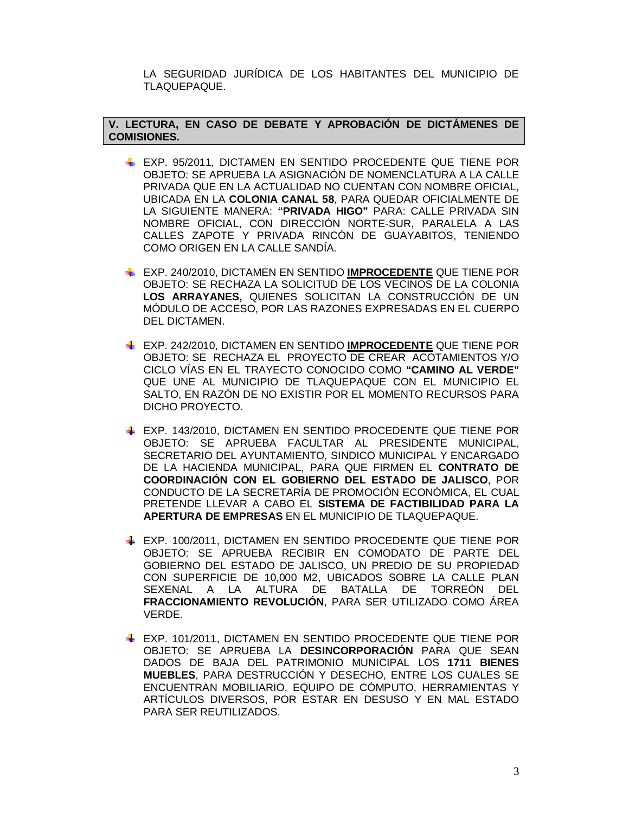LA SEGURIDAD JURÍDICA DE LOS HABITANTES DEL MUNICIPIO DE TLAQUEPAQUE.

## **V. LECTURA, EN CASO DE DEBATE Y APROBACIÓN DE DICTÁMENES DE COMISIONES.**

- EXP. 95/2011, DICTAMEN EN SENTIDO PROCEDENTE QUE TIENE POR OBJETO: SE APRUEBA LA ASIGNACIÓN DE NOMENCLATURA A LA CALLE PRIVADA QUE EN LA ACTUALIDAD NO CUENTAN CON NOMBRE OFICIAL, UBICADA EN LA **COLONIA CANAL 58**, PARA QUEDAR OFICIALMENTE DE LA SIGUIENTE MANERA: **"PRIVADA HIGO"** PARA: CALLE PRIVADA SIN NOMBRE OFICIAL, CON DIRECCIÓN NORTE-SUR, PARALELA A LAS CALLES ZAPOTE Y PRIVADA RINCÓN DE GUAYABITOS, TENIENDO COMO ORIGEN EN LA CALLE SANDÍA.
- EXP. 240/2010, DICTAMEN EN SENTIDO **IMPROCEDENTE** QUE TIENE POR OBJETO: SE RECHAZA LA SOLICITUD DE LOS VECINOS DE LA COLONIA **LOS ARRAYANES,** QUIENES SOLICITAN LA CONSTRUCCIÓN DE UN MÓDULO DE ACCESO, POR LAS RAZONES EXPRESADAS EN EL CUERPO DEL DICTAMEN.
- EXP. 242/2010, DICTAMEN EN SENTIDO **IMPROCEDENTE** QUE TIENE POR OBJETO: SE RECHAZA EL PROYECTO DE CREAR ACOTAMIENTOS Y/O CICLO VÍAS EN EL TRAYECTO CONOCIDO COMO **"CAMINO AL VERDE"** QUE UNE AL MUNICIPIO DE TLAQUEPAQUE CON EL MUNICIPIO EL SALTO, EN RAZÓN DE NO EXISTIR POR EL MOMENTO RECURSOS PARA DICHO PROYECTO.
- EXP. 143/2010, DICTAMEN EN SENTIDO PROCEDENTE QUE TIENE POR OBJETO: SE APRUEBA FACULTAR AL PRESIDENTE MUNICIPAL, SECRETARIO DEL AYUNTAMIENTO, SINDICO MUNICIPAL Y ENCARGADO DE LA HACIENDA MUNICIPAL, PARA QUE FIRMEN EL **CONTRATO DE COORDINACIÓN CON EL GOBIERNO DEL ESTADO DE JALISCO**, POR CONDUCTO DE LA SECRETARÍA DE PROMOCIÓN ECONÓMICA, EL CUAL PRETENDE LLEVAR A CABO EL **SISTEMA DE FACTIBILIDAD PARA LA APERTURA DE EMPRESAS** EN EL MUNICIPIO DE TLAQUEPAQUE.
- EXP. 100/2011, DICTAMEN EN SENTIDO PROCEDENTE QUE TIENE POR OBJETO: SE APRUEBA RECIBIR EN COMODATO DE PARTE DEL GOBIERNO DEL ESTADO DE JALISCO, UN PREDIO DE SU PROPIEDAD CON SUPERFICIE DE 10,000 M2, UBICADOS SOBRE LA CALLE PLAN SEXENAL A LA ALTURA DE BATALLA DE TORREÓN DEL **FRACCIONAMIENTO REVOLUCIÓN**, PARA SER UTILIZADO COMO ÁREA VERDE.
- EXP. 101/2011, DICTAMEN EN SENTIDO PROCEDENTE QUE TIENE POR OBJETO: SE APRUEBA LA **DESINCORPORACIÓN** PARA QUE SEAN DADOS DE BAJA DEL PATRIMONIO MUNICIPAL LOS **1711 BIENES MUEBLES**, PARA DESTRUCCIÓN Y DESECHO, ENTRE LOS CUALES SE ENCUENTRAN MOBILIARIO, EQUIPO DE CÓMPUTO, HERRAMIENTAS Y ARTÍCULOS DIVERSOS, POR ESTAR EN DESUSO Y EN MAL ESTADO PARA SER REUTILIZADOS.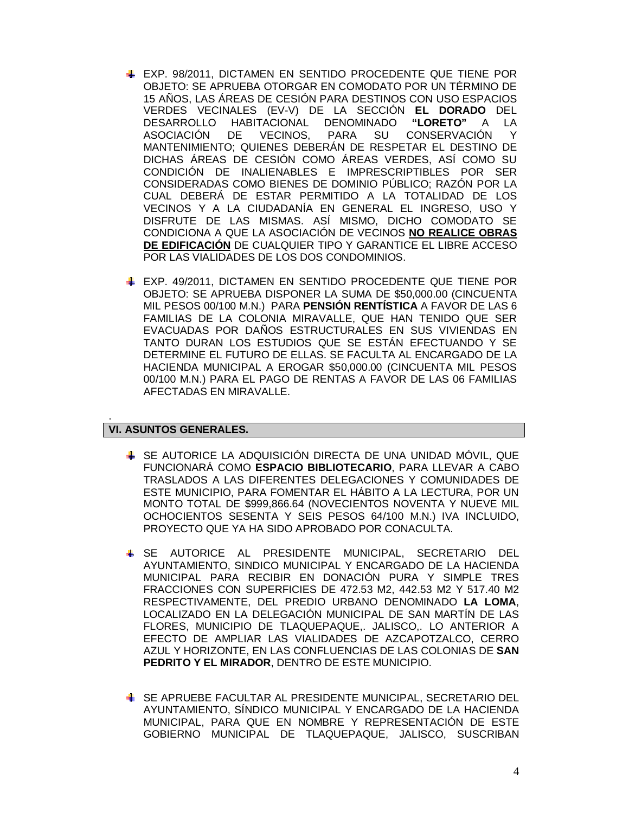- EXP. 98/2011, DICTAMEN EN SENTIDO PROCEDENTE QUE TIENE POR OBJETO: SE APRUEBA OTORGAR EN COMODATO POR UN TÉRMINO DE 15 AÑOS, LAS ÁREAS DE CESIÓN PARA DESTINOS CON USO ESPACIOS VERDES VECINALES (EV-V) DE LA SECCIÓN **EL DORADO** DEL DESARROLLO HABITACIONAL DENOMINADO **"LORETO"** A LA ASOCIACIÓN DE VECINOS, PARA SU CONSERVACIÓN Y MANTENIMIENTO; QUIENES DEBERÁN DE RESPETAR EL DESTINO DE DICHAS ÁREAS DE CESIÓN COMO ÁREAS VERDES, ASÍ COMO SU CONDICIÓN DE INALIENABLES E IMPRESCRIPTIBLES POR SER CONSIDERADAS COMO BIENES DE DOMINIO PÚBLICO; RAZÓN POR LA CUAL DEBERÁ DE ESTAR PERMITIDO A LA TOTALIDAD DE LOS VECINOS Y A LA CIUDADANÍA EN GENERAL EL INGRESO, USO Y DISFRUTE DE LAS MISMAS. ASÍ MISMO, DICHO COMODATO SE CONDICIONA A QUE LA ASOCIACIÓN DE VECINOS **NO REALICE OBRAS DE EDIFICACIÓN** DE CUALQUIER TIPO Y GARANTICE EL LIBRE ACCESO POR LAS VIALIDADES DE LOS DOS CONDOMINIOS.
- EXP. 49/2011, DICTAMEN EN SENTIDO PROCEDENTE QUE TIENE POR OBJETO: SE APRUEBA DISPONER LA SUMA DE \$50,000.00 (CINCUENTA MIL PESOS 00/100 M.N.) PARA **PENSIÓN RENTÍSTICA** A FAVOR DE LAS 6 FAMILIAS DE LA COLONIA MIRAVALLE, QUE HAN TENIDO QUE SER EVACUADAS POR DAÑOS ESTRUCTURALES EN SUS VIVIENDAS EN TANTO DURAN LOS ESTUDIOS QUE SE ESTÁN EFECTUANDO Y SE DETERMINE EL FUTURO DE ELLAS. SE FACULTA AL ENCARGADO DE LA HACIENDA MUNICIPAL A EROGAR \$50,000.00 (CINCUENTA MIL PESOS 00/100 M.N.) PARA EL PAGO DE RENTAS A FAVOR DE LAS 06 FAMILIAS AFECTADAS EN MIRAVALLE.

# **VI. ASUNTOS GENERALES.**

.

- SE AUTORICE LA ADQUISICIÓN DIRECTA DE UNA UNIDAD MÓVIL, QUE FUNCIONARÁ COMO **ESPACIO BIBLIOTECARIO**, PARA LLEVAR A CABO TRASLADOS A LAS DIFERENTES DELEGACIONES Y COMUNIDADES DE ESTE MUNICIPIO, PARA FOMENTAR EL HÁBITO A LA LECTURA, POR UN MONTO TOTAL DE \$999,866.64 (NOVECIENTOS NOVENTA Y NUEVE MIL OCHOCIENTOS SESENTA Y SEIS PESOS 64/100 M.N.) IVA INCLUIDO, PROYECTO QUE YA HA SIDO APROBADO POR CONACULTA.
- SE AUTORICE AL PRESIDENTE MUNICIPAL, SECRETARIO DEL AYUNTAMIENTO, SINDICO MUNICIPAL Y ENCARGADO DE LA HACIENDA MUNICIPAL PARA RECIBIR EN DONACIÓN PURA Y SIMPLE TRES FRACCIONES CON SUPERFICIES DE 472.53 M2, 442.53 M2 Y 517.40 M2 RESPECTIVAMENTE, DEL PREDIO URBANO DENOMINADO **LA LOMA**, LOCALIZADO EN LA DELEGACIÓN MUNICIPAL DE SAN MARTÍN DE LAS FLORES, MUNICIPIO DE TLAQUEPAQUE,. JALISCO,. LO ANTERIOR A EFECTO DE AMPLIAR LAS VIALIDADES DE AZCAPOTZALCO, CERRO AZUL Y HORIZONTE, EN LAS CONFLUENCIAS DE LAS COLONIAS DE **SAN PEDRITO Y EL MIRADOR**, DENTRO DE ESTE MUNICIPIO.
- SE APRUEBE FACULTAR AL PRESIDENTE MUNICIPAL, SECRETARIO DEL AYUNTAMIENTO, SÍNDICO MUNICIPAL Y ENCARGADO DE LA HACIENDA MUNICIPAL, PARA QUE EN NOMBRE Y REPRESENTACIÓN DE ESTE GOBIERNO MUNICIPAL DE TLAQUEPAQUE, JALISCO, SUSCRIBAN